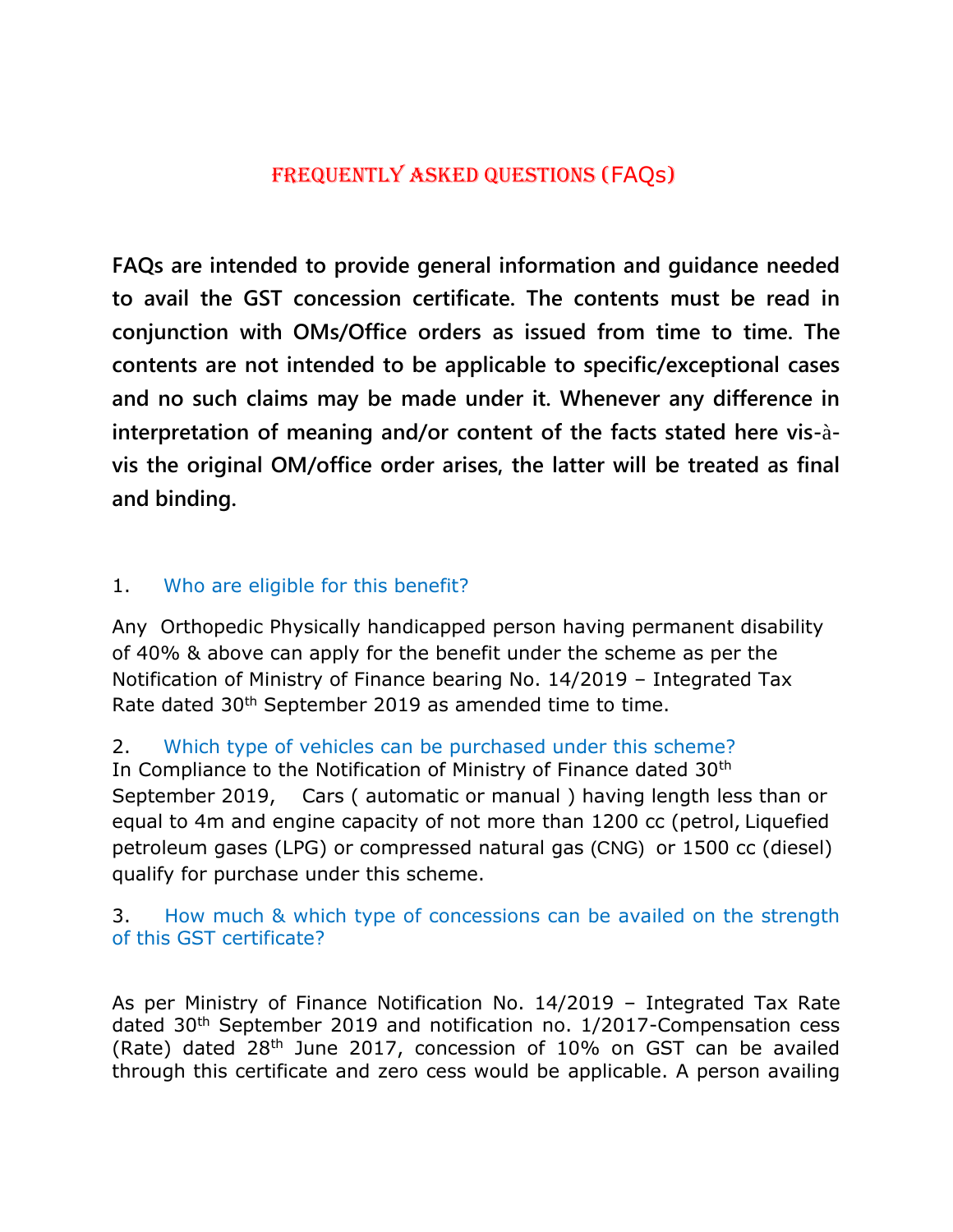# Frequently Asked Questions (FAQs)

**FAQs are intended to provide general information and guidance needed to avail the GST concession certificate. The contents must be read in conjunction with OMs/Office orders as issued from time to time. The contents are not intended to be applicable to specific/exceptional cases and no such claims may be made under it. Whenever any difference in interpretation of meaning and/or content of the facts stated here vis-**à**vis the original OM/office order arises, the latter will be treated as final and binding.**

# 1. Who are eligible for this benefit?

Any Orthopedic Physically handicapped person having permanent disability of 40% & above can apply for the benefit under the scheme as per the Notification of Ministry of Finance bearing No. 14/2019 – Integrated Tax Rate dated 30<sup>th</sup> September 2019 as amended time to time.

2. Which type of vehicles can be purchased under this scheme?

In Compliance to the Notification of Ministry of Finance dated 30th September 2019, Cars ( automatic or manual ) having length less than or equal to 4m and engine capacity of not more than 1200 cc (petrol, Liquefied petroleum gases (LPG) or compressed natural gas (CNG) or 1500 cc (diesel) qualify for purchase under this scheme.

### 3. How much & which type of concessions can be availed on the strength of this GST certificate?

As per Ministry of Finance Notification No. 14/2019 – Integrated Tax Rate dated 30th September 2019 and notification no. 1/2017-Compensation cess (Rate) dated 28th June 2017, concession of 10% on GST can be availed through this certificate and zero cess would be applicable. A person availing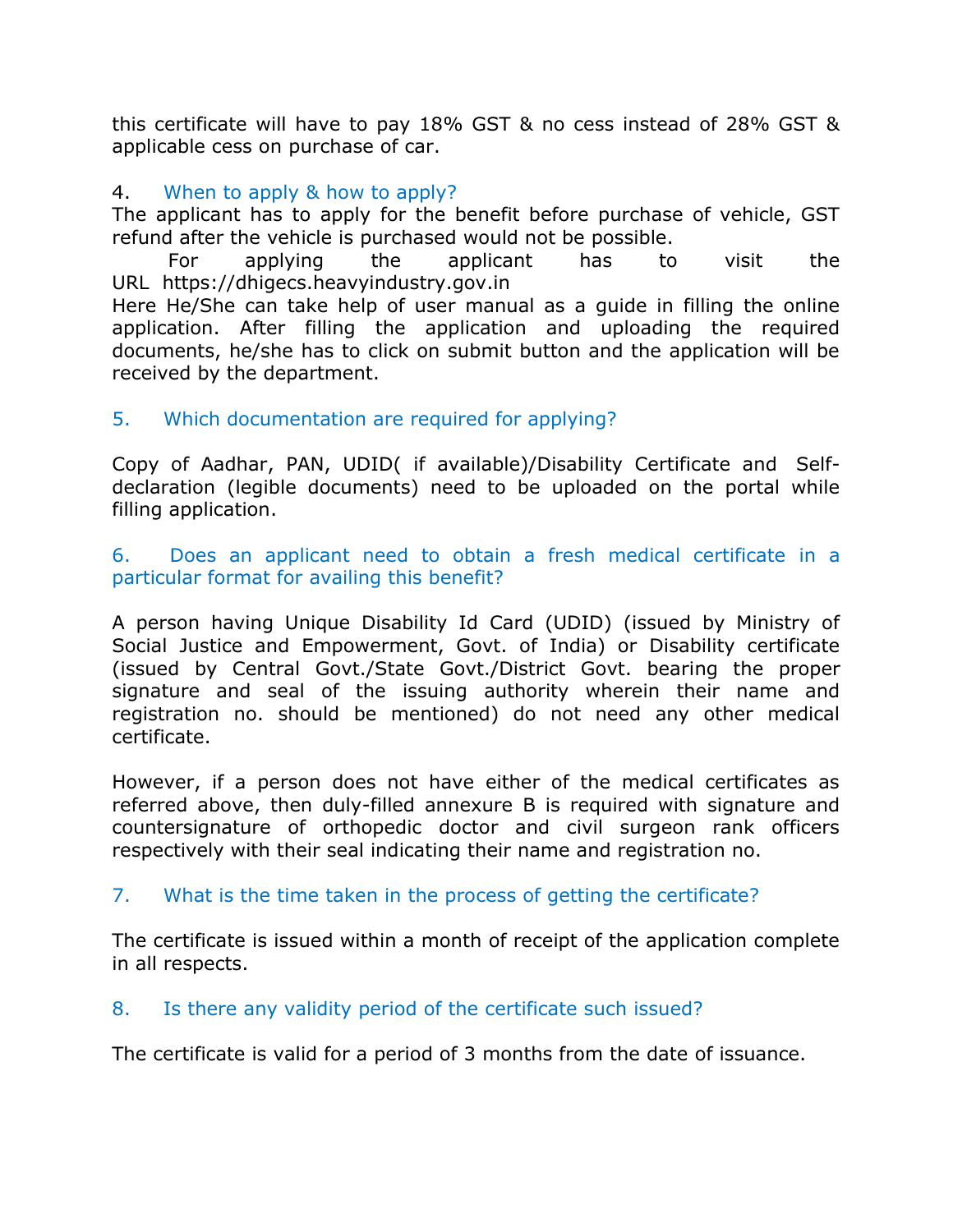this certificate will have to pay 18% GST & no cess instead of 28% GST & applicable cess on purchase of car.

# 4. When to apply & how to apply?

The applicant has to apply for the benefit before purchase of vehicle, GST refund after the vehicle is purchased would not be possible.

For applying the applicant has to visit the URL https://dhigecs.heavyindustry.gov.in

Here He/She can take help of user manual as a guide in filling the online application. After filling the application and uploading the required documents, he/she has to click on submit button and the application will be received by the department.

# 5. Which documentation are required for applying?

Copy of Aadhar, PAN, UDID( if available)/Disability Certificate and Selfdeclaration (legible documents) need to be uploaded on the portal while filling application.

### 6. Does an applicant need to obtain a fresh medical certificate in a particular format for availing this benefit?

A person having Unique Disability Id Card (UDID) (issued by Ministry of Social Justice and Empowerment, Govt. of India) or Disability certificate (issued by Central Govt./State Govt./District Govt. bearing the proper signature and seal of the issuing authority wherein their name and registration no. should be mentioned) do not need any other medical certificate.

However, if a person does not have either of the medical certificates as referred above, then duly-filled annexure B is required with signature and countersignature of orthopedic doctor and civil surgeon rank officers respectively with their seal indicating their name and registration no.

# 7. What is the time taken in the process of getting the certificate?

The certificate is issued within a month of receipt of the application complete in all respects.

# 8. Is there any validity period of the certificate such issued?

The certificate is valid for a period of 3 months from the date of issuance.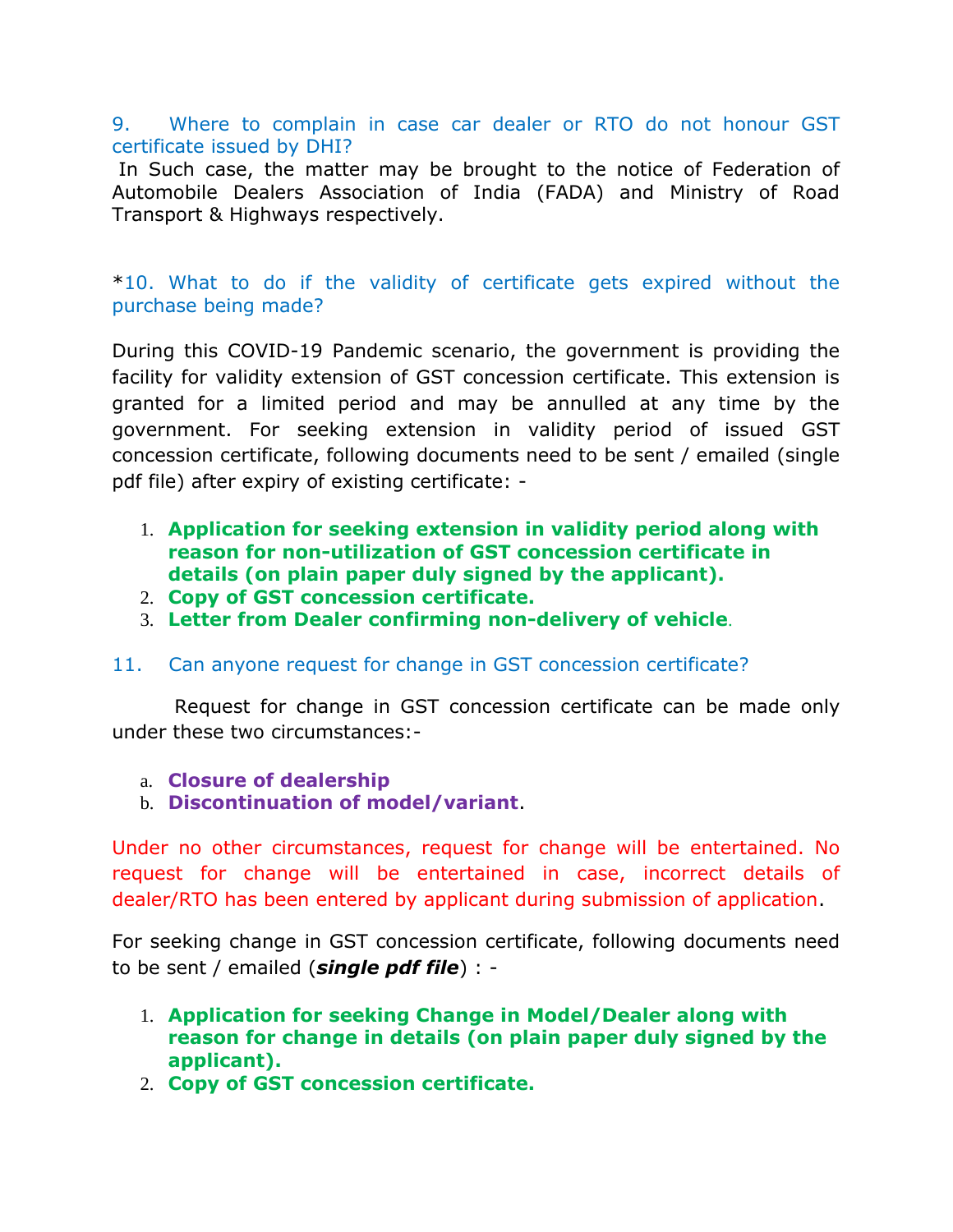#### 9. Where to complain in case car dealer or RTO do not honour GST certificate issued by DHI?

In Such case, the matter may be brought to the notice of Federation of Automobile Dealers Association of India (FADA) and Ministry of Road Transport & Highways respectively.

### \*10. What to do if the validity of certificate gets expired without the purchase being made?

During this COVID-19 Pandemic scenario, the government is providing the facility for validity extension of GST concession certificate. This extension is granted for a limited period and may be annulled at any time by the government. For seeking extension in validity period of issued GST concession certificate, following documents need to be sent / emailed (single pdf file) after expiry of existing certificate: -

- 1. **Application for seeking extension in validity period along with reason for non-utilization of GST concession certificate in details (on plain paper duly signed by the applicant).**
- 2. **Copy of GST concession certificate.**
- 3. **Letter from Dealer confirming non-delivery of vehicle**.

#### 11. Can anyone request for change in GST concession certificate?

 Request for change in GST concession certificate can be made only under these two circumstances:-

#### a. **Closure of dealership**

b. **Discontinuation of model/variant**.

Under no other circumstances, request for change will be entertained. No request for change will be entertained in case, incorrect details of dealer/RTO has been entered by applicant during submission of application.

For seeking change in GST concession certificate, following documents need to be sent / emailed (*single pdf file*) : -

- 1. **Application for seeking Change in Model/Dealer along with reason for change in details (on plain paper duly signed by the applicant).**
- 2. **Copy of GST concession certificate.**